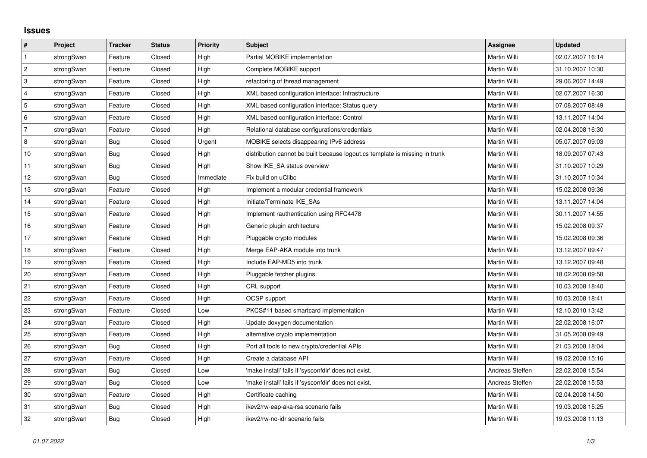## **Issues**

| #         | Project    | <b>Tracker</b> | <b>Status</b> | Priority  | <b>Subject</b>                                                              | <b>Assignee</b> | <b>Updated</b>   |
|-----------|------------|----------------|---------------|-----------|-----------------------------------------------------------------------------|-----------------|------------------|
| $\vert$ 1 | strongSwan | Feature        | Closed        | High      | Partial MOBIKE implementation                                               | Martin Willi    | 02.07.2007 16:14 |
| $\vert$ 2 | strongSwan | Feature        | Closed        | High      | Complete MOBIKE support                                                     | Martin Willi    | 31.10.2007 10:30 |
| 3         | strongSwan | Feature        | Closed        | High      | refactoring of thread management                                            | Martin Willi    | 29.06.2007 14:49 |
| 4         | strongSwan | Feature        | Closed        | High      | XML based configuration interface: Infrastructure                           | Martin Willi    | 02.07.2007 16:30 |
| 5         | strongSwan | Feature        | Closed        | High      | XML based configuration interface: Status query                             | Martin Willi    | 07.08.2007 08:49 |
| 6         | strongSwan | Feature        | Closed        | High      | XML based configuration interface: Control                                  | Martin Willi    | 13.11.2007 14:04 |
| 7         | strongSwan | Feature        | Closed        | High      | Relational database configurations/credentials                              | Martin Willi    | 02.04.2008 16:30 |
| 8         | strongSwan | <b>Bug</b>     | Closed        | Urgent    | MOBIKE selects disappearing IPv6 address                                    | Martin Willi    | 05.07.2007 09:03 |
| $10$      | strongSwan | Bug            | Closed        | High      | distribution cannot be built because logout.cs template is missing in trunk | Martin Willi    | 18.09.2007 07:43 |
| 11        | strongSwan | Bug            | Closed        | High      | Show IKE SA status overview                                                 | Martin Willi    | 31.10.2007 10:29 |
| 12        | strongSwan | Bug            | Closed        | Immediate | Fix build on uClibc                                                         | Martin Willi    | 31.10.2007 10:34 |
| 13        | strongSwan | Feature        | Closed        | High      | Implement a modular credential framework                                    | Martin Willi    | 15.02.2008 09:36 |
| 14        | strongSwan | Feature        | Closed        | High      | Initiate/Terminate IKE SAs                                                  | Martin Willi    | 13.11.2007 14:04 |
| 15        | strongSwan | Feature        | Closed        | High      | Implement rauthentication using RFC4478                                     | Martin Willi    | 30.11.2007 14:55 |
| 16        | strongSwan | Feature        | Closed        | High      | Generic plugin architecture                                                 | Martin Willi    | 15.02.2008 09:37 |
| 17        | strongSwan | Feature        | Closed        | High      | Pluggable crypto modules                                                    | Martin Willi    | 15.02.2008 09:36 |
| 18        | strongSwan | Feature        | Closed        | High      | Merge EAP-AKA module into trunk                                             | Martin Willi    | 13.12.2007 09:47 |
| 19        | strongSwan | Feature        | Closed        | High      | Include EAP-MD5 into trunk                                                  | Martin Willi    | 13.12.2007 09:48 |
| 20        | strongSwan | Feature        | Closed        | High      | Pluggable fetcher plugins                                                   | Martin Willi    | 18.02.2008 09:58 |
| 21        | strongSwan | Feature        | Closed        | High      | CRL support                                                                 | Martin Willi    | 10.03.2008 18:40 |
| 22        | strongSwan | Feature        | Closed        | High      | OCSP support                                                                | Martin Willi    | 10.03.2008 18:41 |
| 23        | strongSwan | Feature        | Closed        | Low       | PKCS#11 based smartcard implementation                                      | Martin Willi    | 12.10.2010 13:42 |
| 24        | strongSwan | Feature        | Closed        | High      | Update doxygen documentation                                                | Martin Willi    | 22.02.2008 16:07 |
| 25        | strongSwan | Feature        | Closed        | High      | alternative crypto implementation                                           | Martin Willi    | 31.05.2008 09:49 |
| 26        | strongSwan | Bug            | Closed        | High      | Port all tools to new crypto/credential APIs                                | Martin Willi    | 21.03.2008 18:04 |
| 27        | strongSwan | Feature        | Closed        | High      | Create a database API                                                       | Martin Willi    | 19.02.2008 15:16 |
| 28        | strongSwan | Bug            | Closed        | Low       | 'make install' fails if 'sysconfdir' does not exist.                        | Andreas Steffen | 22.02.2008 15:54 |
| 29        | strongSwan | Bug            | Closed        | Low       | 'make install' fails if 'sysconfdir' does not exist.                        | Andreas Steffen | 22.02.2008 15:53 |
| 30        | strongSwan | Feature        | Closed        | High      | Certificate caching                                                         | Martin Willi    | 02.04.2008 14:50 |
| 31        | strongSwan | Bug            | Closed        | High      | ikev2/rw-eap-aka-rsa scenario fails                                         | Martin Willi    | 19.03.2008 15:25 |
| 32        | strongSwan | Bug            | Closed        | High      | ikev2/rw-no-idr scenario fails                                              | Martin Willi    | 19.03.2008 11:13 |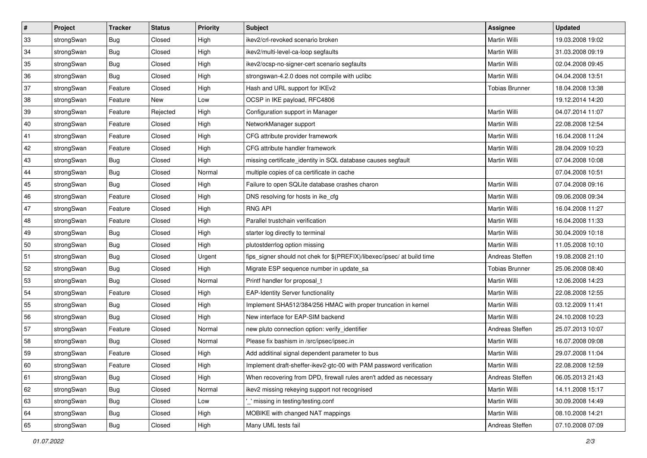| $\vert$ # | Project    | <b>Tracker</b> | <b>Status</b> | <b>Priority</b> | <b>Subject</b>                                                          | <b>Assignee</b>       | <b>Updated</b>   |
|-----------|------------|----------------|---------------|-----------------|-------------------------------------------------------------------------|-----------------------|------------------|
| 33        | strongSwan | <b>Bug</b>     | Closed        | High            | ikev2/crl-revoked scenario broken                                       | Martin Willi          | 19.03.2008 19:02 |
| 34        | strongSwan | Bug            | Closed        | High            | ikev2/multi-level-ca-loop segfaults                                     | <b>Martin Willi</b>   | 31.03.2008 09:19 |
| 35        | strongSwan | <b>Bug</b>     | Closed        | High            | ikev2/ocsp-no-signer-cert scenario segfaults                            | Martin Willi          | 02.04.2008 09:45 |
| 36        | strongSwan | <b>Bug</b>     | Closed        | High            | strongswan-4.2.0 does not compile with uclibc                           | Martin Willi          | 04.04.2008 13:51 |
| 37        | strongSwan | Feature        | Closed        | High            | Hash and URL support for IKEv2                                          | <b>Tobias Brunner</b> | 18.04.2008 13:38 |
| 38        | strongSwan | Feature        | New           | Low             | OCSP in IKE payload, RFC4806                                            |                       | 19.12.2014 14:20 |
| 39        | strongSwan | Feature        | Rejected      | High            | Configuration support in Manager                                        | Martin Willi          | 04.07.2014 11:07 |
| 40        | strongSwan | Feature        | Closed        | High            | NetworkManager support                                                  | Martin Willi          | 22.08.2008 12:54 |
| 41        | strongSwan | Feature        | Closed        | High            | CFG attribute provider framework                                        | Martin Willi          | 16.04.2008 11:24 |
| 42        | strongSwan | Feature        | Closed        | High            | CFG attribute handler framework                                         | Martin Willi          | 28.04.2009 10:23 |
| 43        | strongSwan | <b>Bug</b>     | Closed        | High            | missing certificate_identity in SQL database causes segfault            | Martin Willi          | 07.04.2008 10:08 |
| 44        | strongSwan | <b>Bug</b>     | Closed        | Normal          | multiple copies of ca certificate in cache                              |                       | 07.04.2008 10:51 |
| 45        | strongSwan | Bug            | Closed        | High            | Failure to open SQLite database crashes charon                          | Martin Willi          | 07.04.2008 09:16 |
| 46        | strongSwan | Feature        | Closed        | High            | DNS resolving for hosts in ike_cfg                                      | Martin Willi          | 09.06.2008 09:34 |
| 47        | strongSwan | Feature        | Closed        | High            | <b>RNG API</b>                                                          | <b>Martin Willi</b>   | 16.04.2008 11:27 |
| 48        | strongSwan | Feature        | Closed        | High            | Parallel trustchain verification                                        | Martin Willi          | 16.04.2008 11:33 |
| 49        | strongSwan | <b>Bug</b>     | Closed        | High            | starter log directly to terminal                                        | <b>Martin Willi</b>   | 30.04.2009 10:18 |
| 50        | strongSwan | Bug            | Closed        | High            | plutostderrlog option missing                                           | <b>Martin Willi</b>   | 11.05.2008 10:10 |
| 51        | strongSwan | <b>Bug</b>     | Closed        | Urgent          | fips_signer should not chek for \$(PREFIX)/libexec/ipsec/ at build time | Andreas Steffen       | 19.08.2008 21:10 |
| 52        | strongSwan | Bug            | Closed        | High            | Migrate ESP sequence number in update_sa                                | <b>Tobias Brunner</b> | 25.06.2008 08:40 |
| 53        | strongSwan | Bug            | Closed        | Normal          | Printf handler for proposal t                                           | Martin Willi          | 12.06.2008 14:23 |
| 54        | strongSwan | Feature        | Closed        | High            | <b>EAP-Identity Server functionality</b>                                | Martin Willi          | 22.08.2008 12:55 |
| 55        | strongSwan | Bug            | Closed        | High            | Implement SHA512/384/256 HMAC with proper truncation in kernel          | Martin Willi          | 03.12.2009 11:41 |
| 56        | strongSwan | <b>Bug</b>     | Closed        | High            | New interface for EAP-SIM backend                                       | Martin Willi          | 24.10.2008 10:23 |
| 57        | strongSwan | Feature        | Closed        | Normal          | new pluto connection option: verify_identifier                          | Andreas Steffen       | 25.07.2013 10:07 |
| 58        | strongSwan | <b>Bug</b>     | Closed        | Normal          | Please fix bashism in /src/ipsec/ipsec.in                               | <b>Martin Willi</b>   | 16.07.2008 09:08 |
| 59        | strongSwan | Feature        | Closed        | High            | Add additinal signal dependent parameter to bus                         | Martin Willi          | 29.07.2008 11:04 |
| 60        | strongSwan | Feature        | Closed        | High            | Implement draft-sheffer-ikev2-gtc-00 with PAM password verification     | Martin Willi          | 22.08.2008 12:59 |
| 61        | strongSwan | Bug            | Closed        | High            | When recovering from DPD, firewall rules aren't added as necessary      | Andreas Steffen       | 06.05.2013 21:43 |
| 62        | strongSwan | <b>Bug</b>     | Closed        | Normal          | ikev2 missing rekeying support not recognised                           | Martin Willi          | 14.11.2008 15:17 |
| 63        | strongSwan | Bug            | Closed        | Low             | missing in testing/testing.conf                                         | Martin Willi          | 30.09.2008 14:49 |
| 64        | strongSwan | Bug            | Closed        | High            | MOBIKE with changed NAT mappings                                        | Martin Willi          | 08.10.2008 14:21 |
| 65        | strongSwan | Bug            | Closed        | High            | Many UML tests fail                                                     | Andreas Steffen       | 07.10.2008 07:09 |